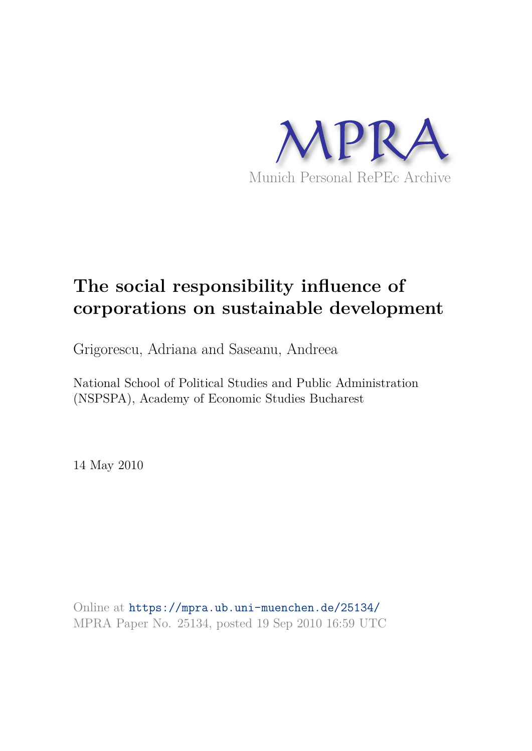

# **The social responsibility influence of corporations on sustainable development**

Grigorescu, Adriana and Saseanu, Andreea

National School of Political Studies and Public Administration (NSPSPA), Academy of Economic Studies Bucharest

14 May 2010

Online at https://mpra.ub.uni-muenchen.de/25134/ MPRA Paper No. 25134, posted 19 Sep 2010 16:59 UTC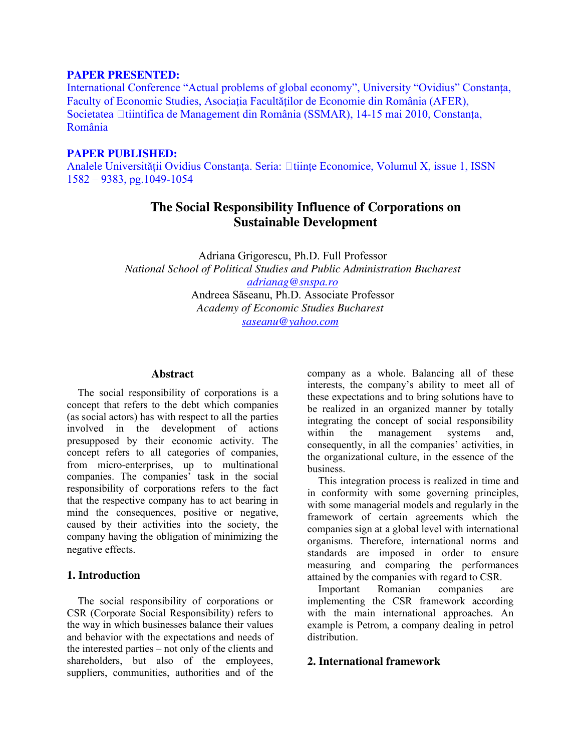#### **PAPER PRESENTED:**

International Conference "Actual problems of global economy", University "Ovidius" Constanța, Faculty of Economic Studies, Asociația Facultăților de Economie din România (AFER), Societatea □tiintifica de Management din România (SSMAR), 14-15 mai 2010, Constanța, România

#### **PAPER PUBLISHED:**

Analele Universităţii Ovidius Constanţa. Seria: tiinţe Economice, Volumul X, issue 1, ISSN 1582 – 9383, pg.1049-1054

## **The Social Responsibility Influence of Corporations on Sustainable Development**

Adriana Grigorescu, Ph.D. Full Professor *National School of Political Studies and Public Administration Bucharest adrianag@snspa.ro* Andreea Săseanu, Ph.D. Associate Professor *Academy of Economic Studies Bucharest saseanu@yahoo.com*

#### **Abstract**

The social responsibility of corporations is a concept that refers to the debt which companies (as social actors) has with respect to all the parties involved in the development of actions presupposed by their economic activity. The concept refers to all categories of companies, from micro-enterprises, up to multinational companies. The companies' task in the social responsibility of corporations refers to the fact that the respective company has to act bearing in mind the consequences, positive or negative, caused by their activities into the society, the company having the obligation of minimizing the negative effects.

#### **1. Introduction**

The social responsibility of corporations or CSR (Corporate Social Responsibility) refers to the way in which businesses balance their values and behavior with the expectations and needs of the interested parties – not only of the clients and shareholders, but also of the employees, suppliers, communities, authorities and of the

company as a whole. Balancing all of these interests, the company's ability to meet all of these expectations and to bring solutions have to be realized in an organized manner by totally integrating the concept of social responsibility within the management systems and, consequently, in all the companies' activities, in the organizational culture, in the essence of the business.

This integration process is realized in time and in conformity with some governing principles, with some managerial models and regularly in the framework of certain agreements which the companies sign at a global level with international organisms. Therefore, international norms and standards are imposed in order to ensure measuring and comparing the performances attained by the companies with regard to CSR.

Important Romanian companies are implementing the CSR framework according with the main international approaches. An example is Petrom, a company dealing in petrol distribution.

#### **2. International framework**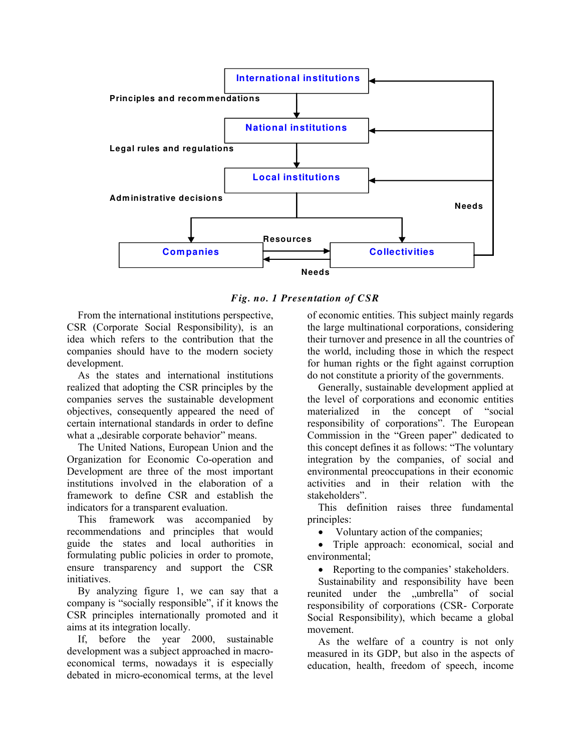

*Fig. no. 1 Presentation of CSR*

From the international institutions perspective, CSR (Corporate Social Responsibility), is an idea which refers to the contribution that the companies should have to the modern society development.

As the states and international institutions realized that adopting the CSR principles by the companies serves the sustainable development objectives, consequently appeared the need of certain international standards in order to define what a ..desirable corporate behavior" means.

The United Nations, European Union and the Organization for Economic Co-operation and Development are three of the most important institutions involved in the elaboration of a framework to define CSR and establish the indicators for a transparent evaluation.

This framework was accompanied by recommendations and principles that would guide the states and local authorities in formulating public policies in order to promote, ensure transparency and support the CSR initiatives.

By analyzing figure 1, we can say that a company is "socially responsible", if it knows the CSR principles internationally promoted and it aims at its integration locally.

If, before the year 2000, sustainable development was a subject approached in macroeconomical terms, nowadays it is especially debated in micro-economical terms, at the level of economic entities. This subject mainly regards the large multinational corporations, considering their turnover and presence in all the countries of the world, including those in which the respect for human rights or the fight against corruption do not constitute a priority of the governments.

Generally, sustainable development applied at the level of corporations and economic entities materialized in the concept of "social responsibility of corporations". The European Commission in the "Green paper" dedicated to this concept defines it as follows: "The voluntary integration by the companies, of social and environmental preoccupations in their economic activities and in their relation with the stakeholders".

This definition raises three fundamental principles:

• Voluntary action of the companies;

 Triple approach: economical, social and environmental;

• Reporting to the companies' stakeholders.

Sustainability and responsibility have been reunited under the .umbrella" of social responsibility of corporations (CSR- Corporate Social Responsibility), which became a global movement.

As the welfare of a country is not only measured in its GDP, but also in the aspects of education, health, freedom of speech, income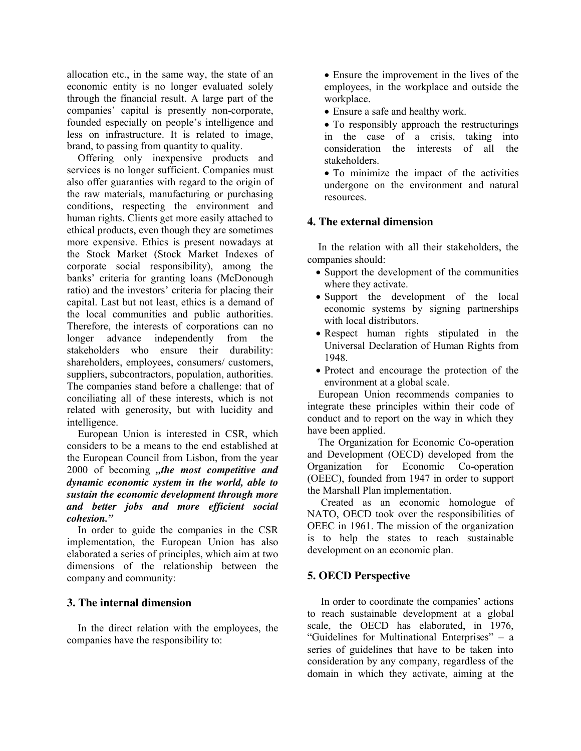allocation etc., in the same way, the state of an economic entity is no longer evaluated solely through the financial result. A large part of the companies' capital is presently non-corporate, founded especially on people's intelligence and less on infrastructure. It is related to image, brand, to passing from quantity to quality.

Offering only inexpensive products and services is no longer sufficient. Companies must also offer guaranties with regard to the origin of the raw materials, manufacturing or purchasing conditions, respecting the environment and human rights. Clients get more easily attached to ethical products, even though they are sometimes more expensive. Ethics is present nowadays at the Stock Market (Stock Market Indexes of corporate social responsibility), among the banks' criteria for granting loans (McDonough ratio) and the investors' criteria for placing their capital. Last but not least, ethics is a demand of the local communities and public authorities. Therefore, the interests of corporations can no longer advance independently from the stakeholders who ensure their durability: shareholders, employees, consumers/ customers, suppliers, subcontractors, population, authorities. The companies stand before a challenge: that of conciliating all of these interests, which is not related with generosity, but with lucidity and intelligence.

European Union is interested in CSR, which considers to be a means to the end established at the European Council from Lisbon, from the year 2000 of becoming *"the most competitive and dynamic economic system in the world, able to sustain the economic development through more and better jobs and more efficient social cohesion."*

In order to guide the companies in the CSR implementation, the European Union has also elaborated a series of principles, which aim at two dimensions of the relationship between the company and community:

## **3. The internal dimension**

In the direct relation with the employees, the companies have the responsibility to:

• Ensure the improvement in the lives of the employees, in the workplace and outside the workplace.

- Ensure a safe and healthy work.
- To responsibly approach the restructurings in the case of a crisis, taking into consideration the interests of all the stakeholders.

 To minimize the impact of the activities undergone on the environment and natural resources.

### **4. The external dimension**

In the relation with all their stakeholders, the companies should:

- Support the development of the communities where they activate.
- Support the development of the local economic systems by signing partnerships with local distributors.
- Respect human rights stipulated in the Universal Declaration of Human Rights from 1948.
- Protect and encourage the protection of the environment at a global scale.

European Union recommends companies to integrate these principles within their code of conduct and to report on the way in which they have been applied.

The Organization for Economic Co-operation and Development (OECD) developed from the Organization for Economic Co-operation (OEEC), founded from 1947 in order to support the Marshall Plan implementation.

Created as an economic homologue of NATO, OECD took over the responsibilities of OEEC in 1961. The mission of the organization is to help the states to reach sustainable development on an economic plan.

## **5. OECD Perspective**

In order to coordinate the companies' actions to reach sustainable development at a global scale, the OECD has elaborated, in 1976, "Guidelines for Multinational Enterprises" – a series of guidelines that have to be taken into consideration by any company, regardless of the domain in which they activate, aiming at the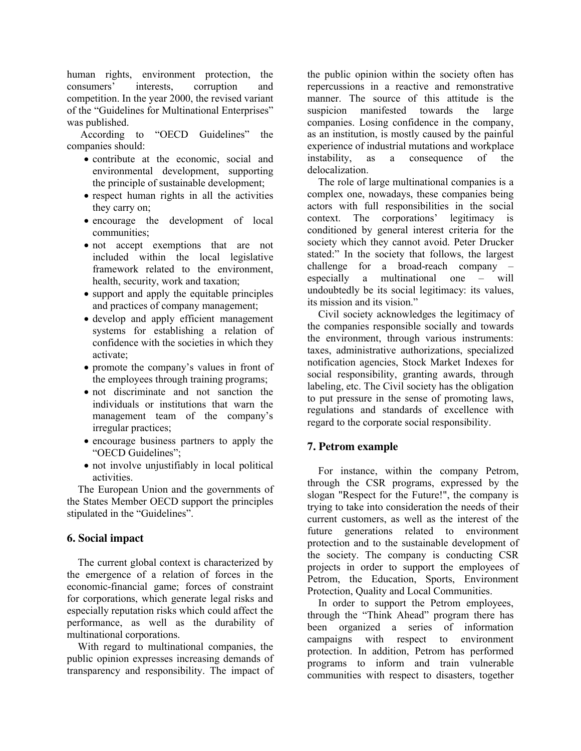human rights, environment protection, the consumers' interests, corruption and competition. In the year 2000, the revised variant of the "Guidelines for Multinational Enterprises" was published.

According to "OECD Guidelines" the companies should:

- contribute at the economic, social and environmental development, supporting the principle of sustainable development;
- respect human rights in all the activities they carry on;
- encourage the development of local communities;
- not accept exemptions that are not included within the local legislative framework related to the environment, health, security, work and taxation;
- support and apply the equitable principles and practices of company management;
- develop and apply efficient management systems for establishing a relation of confidence with the societies in which they activate;
- promote the company's values in front of the employees through training programs;
- not discriminate and not sanction the individuals or institutions that warn the management team of the company's irregular practices;
- encourage business partners to apply the "OECD Guidelines";
- not involve unjustifiably in local political activities.

The European Union and the governments of the States Member OECD support the principles stipulated in the "Guidelines".

#### **6. Social impact**

The current global context is characterized by the emergence of a relation of forces in the economic-financial game; forces of constraint for corporations, which generate legal risks and especially reputation risks which could affect the performance, as well as the durability of multinational corporations.

With regard to multinational companies, the public opinion expresses increasing demands of transparency and responsibility. The impact of the public opinion within the society often has repercussions in a reactive and remonstrative manner. The source of this attitude is the suspicion manifested towards the large companies. Losing confidence in the company, as an institution, is mostly caused by the painful experience of industrial mutations and workplace instability, as a consequence of the delocalization.

The role of large multinational companies is a complex one, nowadays, these companies being actors with full responsibilities in the social context. The corporations' legitimacy is conditioned by general interest criteria for the society which they cannot avoid. Peter Drucker stated:" In the society that follows, the largest challenge for a broad-reach company – especially a multinational one – will undoubtedly be its social legitimacy: its values, its mission and its vision."

Civil society acknowledges the legitimacy of the companies responsible socially and towards the environment, through various instruments: taxes, administrative authorizations, specialized notification agencies, Stock Market Indexes for social responsibility, granting awards, through labeling, etc. The Civil society has the obligation to put pressure in the sense of promoting laws, regulations and standards of excellence with regard to the corporate social responsibility.

## **7. Petrom example**

For instance, within the company Petrom, through the CSR programs, expressed by the slogan "Respect for the Future!", the company is trying to take into consideration the needs of their current customers, as well as the interest of the future generations related to environment protection and to the sustainable development of the society. The company is conducting CSR projects in order to support the employees of Petrom, the Education, Sports, Environment Protection, Quality and Local Communities.

In order to support the Petrom employees, through the "Think Ahead" program there has been organized a series of information campaigns with respect to environment protection. In addition, Petrom has performed programs to inform and train vulnerable communities with respect to disasters, together